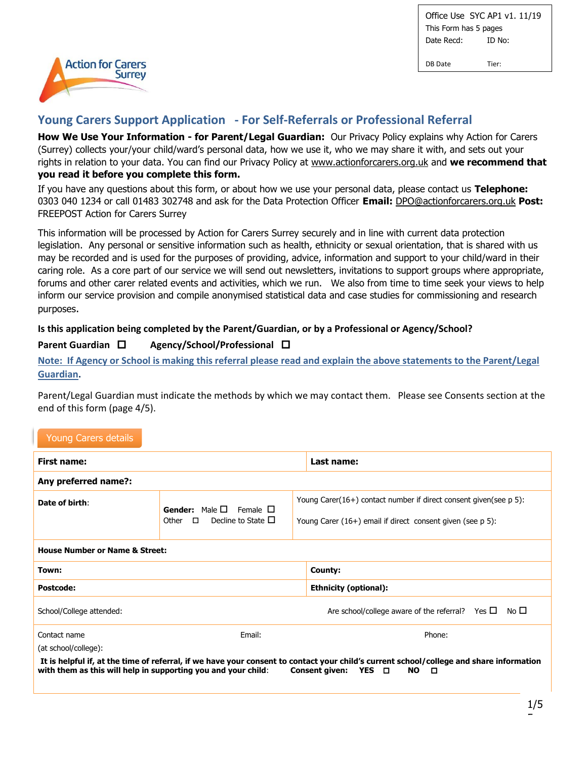DB Date Tier:



# **Young Carers Support Application - For Self-Referrals or Professional Referral**

**How We Use Your Information - for Parent/Legal Guardian:** Our Privacy Policy explains why Action for Carers (Surrey) collects your/your child/ward's personal data, how we use it, who we may share it with, and sets out your rights in relation to your data. You can find our Privacy Policy at www.actionforcarers.org.uk and **we recommend that you read it before you complete this form.**

If you have any questions about this form, or about how we use your personal data, please contact us **Telephone:**  0303 040 1234 or call 01483 302748 and ask for the Data Protection Officer **Email:** [DPO@actionforcarers.org.uk](mailto:DPO@actionforcarers.org.uk) **Post:**  FREEPOST Action for Carers Surrey

This information will be processed by Action for Carers Surrey securely and in line with current data protection legislation. Any personal or sensitive information such as health, ethnicity or sexual orientation, that is shared with us may be recorded and is used for the purposes of providing, advice, information and support to your child/ward in their caring role. As a core part of our service we will send out newsletters, invitations to support groups where appropriate, forums and other carer related events and activities, which we run. We also from time to time seek your views to help inform our service provision and compile anonymised statistical data and case studies for commissioning and research purposes.

#### **Is this application being completed by the Parent/Guardian, or by a Professional or Agency/School?**

## **Parent Guardian □ Agency/School/Professional □**

**Note: If Agency or School is making this referral please read and explain the above statements to the Parent/Legal Guardian.** 

Parent/Legal Guardian must indicate the methods by which we may contact them. Please see Consents section at the end of this form (page 4/5).

## Young Carers details

| First name:                                                                                                                                                                                                                                                  |                                                                                        |  | Last name:                                                                                                                      |
|--------------------------------------------------------------------------------------------------------------------------------------------------------------------------------------------------------------------------------------------------------------|----------------------------------------------------------------------------------------|--|---------------------------------------------------------------------------------------------------------------------------------|
| Any preferred name?:                                                                                                                                                                                                                                         |                                                                                        |  |                                                                                                                                 |
| Date of birth:                                                                                                                                                                                                                                               | <b>Gender:</b> Male $\Box$ Female $\Box$<br>Decline to State $\Box$<br>$\Box$<br>Other |  | Young Carer(16+) contact number if direct consent given(see p 5):<br>Young Carer (16+) email if direct consent given (see p 5): |
| <b>House Number or Name &amp; Street:</b>                                                                                                                                                                                                                    |                                                                                        |  |                                                                                                                                 |
| Town:                                                                                                                                                                                                                                                        |                                                                                        |  | County:                                                                                                                         |
| <b>Postcode:</b>                                                                                                                                                                                                                                             |                                                                                        |  | <b>Ethnicity (optional):</b>                                                                                                    |
| School/College attended:                                                                                                                                                                                                                                     |                                                                                        |  | Are school/college aware of the referral? Yes $\Box$<br>No □                                                                    |
| Contact name                                                                                                                                                                                                                                                 | Email:                                                                                 |  | Phone:                                                                                                                          |
| (at school/college):                                                                                                                                                                                                                                         |                                                                                        |  |                                                                                                                                 |
| It is helpful if, at the time of referral, if we have your consent to contact your child's current school/college and share information<br>with them as this will help in supporting you and your child:<br><b>Consent given:</b><br>YES O<br><b>NO</b><br>o |                                                                                        |  |                                                                                                                                 |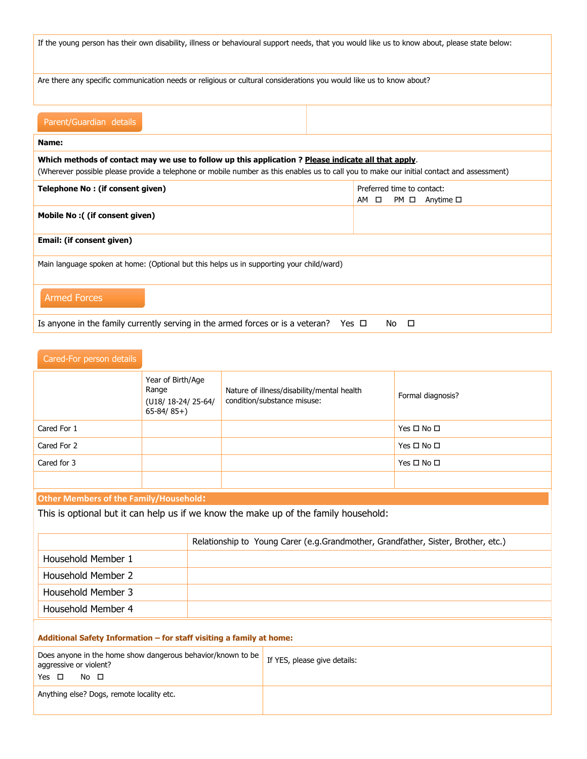| If the young person has their own disability, illness or behavioural support needs, that you would like us to know about, please state below:                                                                                                   |                                                                |  |
|-------------------------------------------------------------------------------------------------------------------------------------------------------------------------------------------------------------------------------------------------|----------------------------------------------------------------|--|
| Are there any specific communication needs or religious or cultural considerations you would like us to know about?                                                                                                                             |                                                                |  |
| Parent/Guardian details                                                                                                                                                                                                                         |                                                                |  |
| Name:                                                                                                                                                                                                                                           |                                                                |  |
| Which methods of contact may we use to follow up this application? Please indicate all that apply.<br>(Wherever possible please provide a telephone or mobile number as this enables us to call you to make our initial contact and assessment) |                                                                |  |
| Telephone No: (if consent given)                                                                                                                                                                                                                | Preferred time to contact:<br>$PM \Box$ Anytime $\Box$<br>AM □ |  |
| Mobile No: ((if consent given)                                                                                                                                                                                                                  |                                                                |  |
| Email: (if consent given)                                                                                                                                                                                                                       |                                                                |  |
| Main language spoken at home: (Optional but this helps us in supporting your child/ward)                                                                                                                                                        |                                                                |  |
| <b>Armed Forces</b>                                                                                                                                                                                                                             |                                                                |  |
| Is anyone in the family currently serving in the armed forces or is a veteran? Yes $\Box$<br>$\Box$<br>No.                                                                                                                                      |                                                                |  |

| Cared-For person details                                                                                           |                                                                   |                              |                                                                                     |                      |
|--------------------------------------------------------------------------------------------------------------------|-------------------------------------------------------------------|------------------------------|-------------------------------------------------------------------------------------|----------------------|
|                                                                                                                    | Year of Birth/Age<br>Range<br>(U18/18-24/25-64/<br>$65 - 84/85+)$ |                              | Nature of illness/disability/mental health<br>condition/substance misuse:           | Formal diagnosis?    |
| Cared For 1                                                                                                        |                                                                   |                              |                                                                                     | Yes $\Box$ No $\Box$ |
| Cared For 2                                                                                                        |                                                                   |                              |                                                                                     | Yes $\Box$ No $\Box$ |
| Cared for 3                                                                                                        |                                                                   |                              |                                                                                     | Yes $\Box$ No $\Box$ |
|                                                                                                                    |                                                                   |                              |                                                                                     |                      |
| <b>Other Members of the Family/Household:</b>                                                                      |                                                                   |                              |                                                                                     |                      |
|                                                                                                                    |                                                                   |                              | This is optional but it can help us if we know the make up of the family household: |                      |
|                                                                                                                    |                                                                   |                              | Relationship to Young Carer (e.g.Grandmother, Grandfather, Sister, Brother, etc.)   |                      |
| Household Member 1                                                                                                 |                                                                   |                              |                                                                                     |                      |
| Household Member 2                                                                                                 |                                                                   |                              |                                                                                     |                      |
| Household Member 3                                                                                                 |                                                                   |                              |                                                                                     |                      |
| Household Member 4                                                                                                 |                                                                   |                              |                                                                                     |                      |
|                                                                                                                    |                                                                   |                              |                                                                                     |                      |
| Additional Safety Information - for staff visiting a family at home:                                               |                                                                   |                              |                                                                                     |                      |
| Does anyone in the home show dangerous behavior/known to be<br>aggressive or violent?<br>Yes $\Box$<br>$No$ $\Box$ |                                                                   | If YES, please give details: |                                                                                     |                      |

Anything else? Dogs, remote locality etc.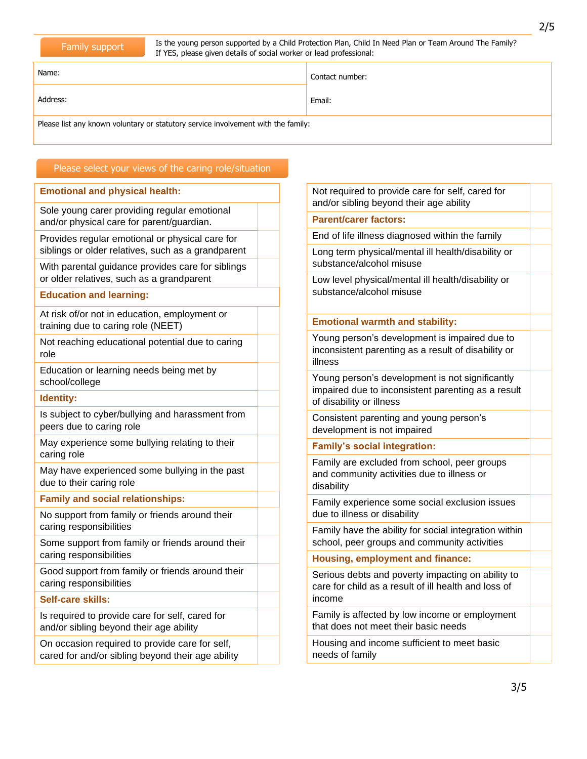Is the young person supported by a Child Protection Plan, Child In Need Plan or Team Around The Family? If YES, please given details of social worker or lead professional:

2/5

Address: Email: Email: Email: Email: Email: Email: Email: Email: Email: Email: Email: Email: Email: Email: Email: Email: Email: Email: Email: Email: Email: Email: Email: Email: Email: Email: Email: Email: Email: Email: Ema

Please list any known voluntary or statutory service involvement with the family:

Name: Contact number:

## Please select your views of the caring role/situation

#### **Emotional and physical health:**

Sole young carer providing regular emotional and/or physical care for parent/guardian.

Provides regular emotional or physical care for siblings or older relatives, such as a grandparent

With parental guidance provides care for siblings or older relatives, such as a grandparent

#### **Education and learning:**

At risk of/or not in education, employment or training due to caring role (NEET)

Not reaching educational potential due to caring role

Education or learning needs being met by school/college

#### **Identity:**

Is subject to cyber/bullying and harassment from peers due to caring role

May experience some bullying relating to their caring role

May have experienced some bullying in the past due to their caring role

#### **Family and social relationships:**

No support from family or friends around their caring responsibilities

Some support from family or friends around their caring responsibilities

Good support from family or friends around their caring responsibilities

#### **Self-care skills:**

Is required to provide care for self, cared for and/or sibling beyond their age ability

On occasion required to provide care for self, cared for and/or sibling beyond their age ability Not required to provide care for self, cared for and/or sibling beyond their age ability

#### **Parent/carer factors:**

End of life illness diagnosed within the family

Long term physical/mental ill health/disability or substance/alcohol misuse

Low level physical/mental ill health/disability or substance/alcohol misuse

#### **Emotional warmth and stability:**

Young person's development is impaired due to inconsistent parenting as a result of disability or illness

Young person's development is not significantly impaired due to inconsistent parenting as a result of disability or illness

Consistent parenting and young person's development is not impaired

#### **Family's social integration:**

Family are excluded from school, peer groups and community activities due to illness or disability

Family experience some social exclusion issues due to illness or disability

Family have the ability for social integration within school, peer groups and community activities

**Housing, employment and finance:**

Serious debts and poverty impacting on ability to care for child as a result of ill health and loss of income

Family is affected by low income or employment that does not meet their basic needs

Housing and income sufficient to meet basic needs of family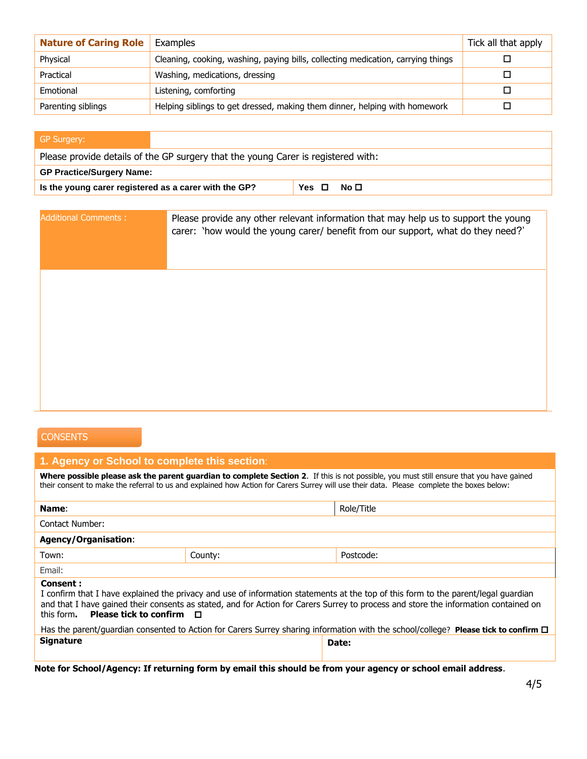| <b>Nature of Caring Role</b> | Examples                                                                         | Tick all that apply |
|------------------------------|----------------------------------------------------------------------------------|---------------------|
| Physical                     | Cleaning, cooking, washing, paying bills, collecting medication, carrying things |                     |
| Practical                    | Washing, medications, dressing                                                   |                     |
| Emotional                    | Listening, comforting                                                            |                     |
| Parenting siblings           | Helping siblings to get dressed, making them dinner, helping with homework       |                     |

| <b>GP Surgery:</b>                                                                |           |  |  |
|-----------------------------------------------------------------------------------|-----------|--|--|
| Please provide details of the GP surgery that the young Carer is registered with: |           |  |  |
| <b>GP Practice/Surgery Name:</b>                                                  |           |  |  |
| Is the young carer registered as a carer with the GP?                             | Yes □ No□ |  |  |

| <b>Additional Comments:</b> | Please provide any other relevant information that may help us to support the young<br>carer: 'how would the young carer/ benefit from our support, what do they need?' |
|-----------------------------|-------------------------------------------------------------------------------------------------------------------------------------------------------------------------|
|                             |                                                                                                                                                                         |
|                             |                                                                                                                                                                         |
|                             |                                                                                                                                                                         |

## **CONSENTS**

#### **1. Agency or School to complete this section**:

**Where possible please ask the parent guardian to complete Section 2**. If this is not possible, you must still ensure that you have gained their consent to make the referral to us and explained how Action for Carers Surrey will use their data. Please complete the boxes below:

| Name:                                                                                                                                                                                                                                                                                                                             |         | Role/Title |  |
|-----------------------------------------------------------------------------------------------------------------------------------------------------------------------------------------------------------------------------------------------------------------------------------------------------------------------------------|---------|------------|--|
| Contact Number:                                                                                                                                                                                                                                                                                                                   |         |            |  |
| <b>Agency/Organisation:</b>                                                                                                                                                                                                                                                                                                       |         |            |  |
| Town:                                                                                                                                                                                                                                                                                                                             | County: | Postcode:  |  |
| Email:                                                                                                                                                                                                                                                                                                                            |         |            |  |
| Consent:<br>I confirm that I have explained the privacy and use of information statements at the top of this form to the parent/legal guardian<br>and that I have gained their consents as stated, and for Action for Carers Surrey to process and store the information contained on<br>this form. Please tick to confirm $\Box$ |         |            |  |
| Has the parent/guardian consented to Action for Carers Surrey sharing information with the school/college? Please tick to confirm $\Box$                                                                                                                                                                                          |         |            |  |
| <b>Signature</b>                                                                                                                                                                                                                                                                                                                  |         | Date:      |  |

**Note for School/Agency: If returning form by email this should be from your agency or school email address**.